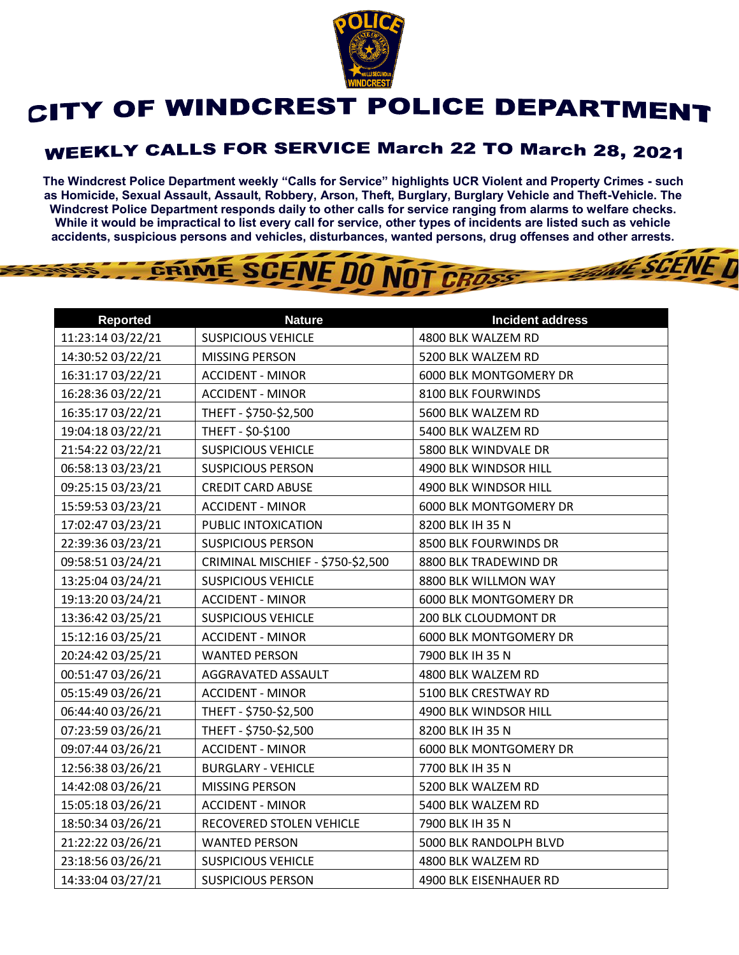

## CITY OF WINDCREST POLICE DEPARTMENT

## **WEEKLY CALLS FOR SERVICE March 22 TO March 28, 2021**

**The Windcrest Police Department weekly "Calls for Service" highlights UCR Violent and Property Crimes - such as Homicide, Sexual Assault, Assault, Robbery, Arson, Theft, Burglary, Burglary Vehicle and Theft-Vehicle. The Windcrest Police Department responds daily to other calls for service ranging from alarms to welfare checks. While it would be impractical to list every call for service, other types of incidents are listed such as vehicle accidents, suspicious persons and vehicles, disturbances, wanted persons, drug offenses and other arrests.** 

**THE SCENE T** 

## GRIME SCENE DO NOT CROSS

| <b>Reported</b>   | <b>Nature</b>                     | <b>Incident address</b> |
|-------------------|-----------------------------------|-------------------------|
| 11:23:14 03/22/21 | <b>SUSPICIOUS VEHICLE</b>         | 4800 BLK WALZEM RD      |
| 14:30:52 03/22/21 | <b>MISSING PERSON</b>             | 5200 BLK WALZEM RD      |
| 16:31:17 03/22/21 | <b>ACCIDENT - MINOR</b>           | 6000 BLK MONTGOMERY DR  |
| 16:28:36 03/22/21 | <b>ACCIDENT - MINOR</b>           | 8100 BLK FOURWINDS      |
| 16:35:17 03/22/21 | THEFT - \$750-\$2,500             | 5600 BLK WALZEM RD      |
| 19:04:18 03/22/21 | THEFT - \$0-\$100                 | 5400 BLK WALZEM RD      |
| 21:54:22 03/22/21 | <b>SUSPICIOUS VEHICLE</b>         | 5800 BLK WINDVALE DR    |
| 06:58:13 03/23/21 | <b>SUSPICIOUS PERSON</b>          | 4900 BLK WINDSOR HILL   |
| 09:25:15 03/23/21 | <b>CREDIT CARD ABUSE</b>          | 4900 BLK WINDSOR HILL   |
| 15:59:53 03/23/21 | <b>ACCIDENT - MINOR</b>           | 6000 BLK MONTGOMERY DR  |
| 17:02:47 03/23/21 | PUBLIC INTOXICATION               | 8200 BLK IH 35 N        |
| 22:39:36 03/23/21 | <b>SUSPICIOUS PERSON</b>          | 8500 BLK FOURWINDS DR   |
| 09:58:51 03/24/21 | CRIMINAL MISCHIEF - \$750-\$2,500 | 8800 BLK TRADEWIND DR   |
| 13:25:04 03/24/21 | <b>SUSPICIOUS VEHICLE</b>         | 8800 BLK WILLMON WAY    |
| 19:13:20 03/24/21 | <b>ACCIDENT - MINOR</b>           | 6000 BLK MONTGOMERY DR  |
| 13:36:42 03/25/21 | <b>SUSPICIOUS VEHICLE</b>         | 200 BLK CLOUDMONT DR    |
| 15:12:16 03/25/21 | <b>ACCIDENT - MINOR</b>           | 6000 BLK MONTGOMERY DR  |
| 20:24:42 03/25/21 | <b>WANTED PERSON</b>              | 7900 BLK IH 35 N        |
| 00:51:47 03/26/21 | AGGRAVATED ASSAULT                | 4800 BLK WALZEM RD      |
| 05:15:49 03/26/21 | <b>ACCIDENT - MINOR</b>           | 5100 BLK CRESTWAY RD    |
| 06:44:40 03/26/21 | THEFT - \$750-\$2,500             | 4900 BLK WINDSOR HILL   |
| 07:23:59 03/26/21 | THEFT - \$750-\$2,500             | 8200 BLK IH 35 N        |
| 09:07:44 03/26/21 | <b>ACCIDENT - MINOR</b>           | 6000 BLK MONTGOMERY DR  |
| 12:56:38 03/26/21 | <b>BURGLARY - VEHICLE</b>         | 7700 BLK IH 35 N        |
| 14:42:08 03/26/21 | MISSING PERSON                    | 5200 BLK WALZEM RD      |
| 15:05:18 03/26/21 | <b>ACCIDENT - MINOR</b>           | 5400 BLK WALZEM RD      |
| 18:50:34 03/26/21 | RECOVERED STOLEN VEHICLE          | 7900 BLK IH 35 N        |
| 21:22:22 03/26/21 | <b>WANTED PERSON</b>              | 5000 BLK RANDOLPH BLVD  |
| 23:18:56 03/26/21 | <b>SUSPICIOUS VEHICLE</b>         | 4800 BLK WALZEM RD      |
| 14:33:04 03/27/21 | <b>SUSPICIOUS PERSON</b>          | 4900 BLK EISENHAUER RD  |